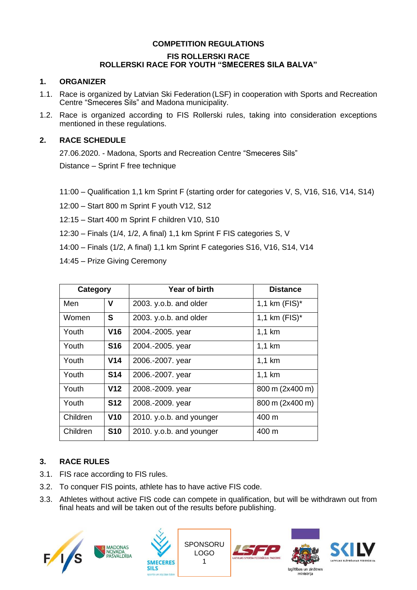## **COMPETITION REGULATIONS**

#### **FIS ROLLERSKI RACE ROLLERSKI RACE FOR YOUTH "SMECERES SILA BALVA"**

## **1. ORGANIZER**

- 1.1. Race is organized by Latvian Ski Federation (LSF) in cooperation with Sports and Recreation Centre "Smeceres Sils" and Madona municipality.
- 1.2. Race is organized according to FIS Rollerski rules, taking into consideration exceptions mentioned in these regulations.

## **2. RACE SCHEDULE**

27.06.2020. - Madona, Sports and Recreation Centre "Smeceres Sils" Distance – Sprint F free technique

11:00 – Qualification 1,1 km Sprint F (starting order for categories V, S, V16, S16, V14, S14)

12:00 – Start 800 m Sprint F youth V12, S12

12:15 – Start 400 m Sprint F children V10, S10

12:30 – Finals (1/4, 1/2, A final) 1,1 km Sprint F FIS categories S, V

14:00 – Finals (1/2, A final) 1,1 km Sprint F categories S16, V16, S14, V14

14:45 – Prize Giving Ceremony

| Category |                 | Year of birth            | <b>Distance</b>  |
|----------|-----------------|--------------------------|------------------|
| Men      | V               | 2003. y.o.b. and older   | 1,1 km $(FIS)^*$ |
| Women    | S               | 2003. y.o.b. and older   | 1,1 km $(FIS)^*$ |
| Youth    | V16             | 2004.-2005. year         | $1,1$ km         |
| Youth    | <b>S16</b>      | 2004.-2005. year         | $1,1$ km         |
| Youth    | V <sub>14</sub> | 2006.-2007. year         | $1,1$ km         |
| Youth    | <b>S14</b>      | 2006.-2007. year         | $1,1$ km         |
| Youth    | V <sub>12</sub> | 2008.-2009. year         | 800 m (2x400 m)  |
| Youth    | <b>S12</b>      | 2008.-2009. year         | 800 m (2x400 m)  |
| Children | V10             | 2010. y.o.b. and younger | 400 m            |
| Children | <b>S10</b>      | 2010. y.o.b. and younger | 400 m            |

# **3. RACE RULES**

- 3.1. FIS race according to FIS rules.
- 3.2. To conquer FIS points, athlete has to have active FIS code.
- 3.3. Athletes without active FIS code can compete in qualification, but will be withdrawn out from final heats and will be taken out of the results before publishing.

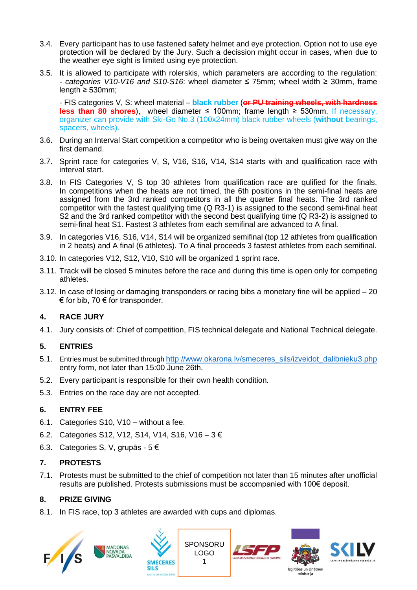- 3.4. Every participant has to use fastened safety helmet and eye protection. Option not to use eye protection will be declared by the Jury. Such a decission might occur in cases, when due to the weather eye sight is limited using eye protection.
- 3.5. It is allowed to participate with rolerskis, which parameters are according to the regulation: *- categories V10-V16 and S10-S16*: wheel diameter ≤ 75mm; wheel width ≥ 30mm, frame length  $\geq 530$ mm;

- FIS categories V, S: wheel material – **black rubber** (**or PU training wheels, with hardness less than 80 shores**), wheel diameter ≤ 100mm; frame length ≥ 530mm. If necessary, organizer can provide with Ski-Go No.3 (100x24mm) black rubber wheels (**without** bearings, spacers, wheels).

- 3.6. During an Interval Start competition a competitor who is being overtaken must give way on the first demand.
- 3.7. Sprint race for categories V, S, V16, S16, V14, S14 starts with and qualification race with interval start.
- 3.8. In FIS Categories V, S top 30 athletes from qualification race are qulified for the finals. In competitions when the heats are not timed, the 6th positions in the semi-final heats are assigned from the 3rd ranked competitors in all the quarter final heats. The 3rd ranked competitor with the fastest qualifying time (Q R3-1) is assigned to the second semi-final heat S2 and the 3rd ranked competitor with the second best qualifying time (Q R3-2) is assigned to semi-final heat S1. Fastest 3 athletes from each semifinal are advanced to A final.
- 3.9. In categories V16, S16, V14, S14 will be organized semifinal (top 12 athletes from qualification in 2 heats) and A final (6 athletes). To A final proceeds 3 fastest athletes from each semifinal.
- 3.10. In categories V12, S12, V10, S10 will be organized 1 sprint race.
- 3.11. Track will be closed 5 minutes before the race and during this time is open only for competing athletes.
- 3.12. In case of losing or damaging transponders or racing bibs a monetary fine will be applied 20  $\epsilon$  for bib, 70  $\epsilon$  for transponder.

# **4. RACE JURY**

4.1. Jury consists of: Chief of competition, FIS technical delegate and National Technical delegate.

#### **5. ENTRIES**

- 5.1. Entries must be submitted through [http://www.okarona.lv/smeceres\\_sils/izveidot\\_dalibnieku3.php](http://www.okarona.lv/smeceres_sils/izveidot_dalibnieku3.php) entry form, not later than 15:00 June 26th.
- 5.2. Every participant is responsible for their own health condition.
- 5.3. Entries on the race day are not accepted.

#### **6. ENTRY FEE**

6.1. Categories S10, V10 – without a fee.

MADONAS<br>NOVADA<br>PAŠVALDĪBA

- 6.2. Categories S12, V12, S14, V14, S16, V16 3 €
- 6.3. Categories S, V, grupās 5 €

#### **7. PROTESTS**

7.1. Protests must be submitted to the chief of competition not later than 15 minutes after unofficial results are published. Protests submissions must be accompanied with 100€ deposit.

> SPONSORU LOGO 1

> > Izglītības un zinātnes ministrija

#### **8. PRIZE GIVING**

 $F/1/S$ 

8.1. In FIS race, top 3 athletes are awarded with cups and diplomas.

**SMECERES**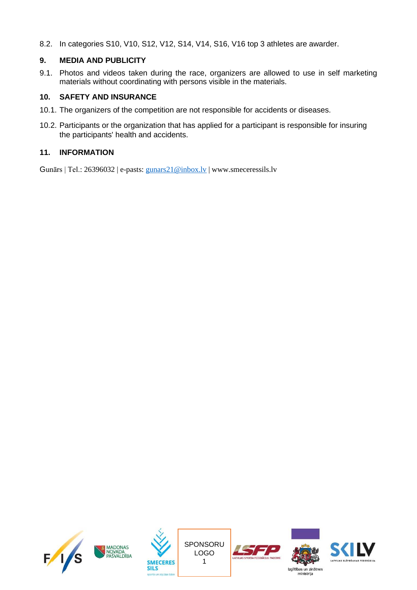8.2. In categories S10, V10, S12, V12, S14, V14, S16, V16 top 3 athletes are awarder.

## **9. MEDIA AND PUBLICITY**

9.1. Photos and videos taken during the race, organizers are allowed to use in self marketing materials without coordinating with persons visible in the materials.

## **10. SAFETY AND INSURANCE**

- 10.1. The organizers of the competition are not responsible for accidents or diseases.
- 10.2. Participants or the organization that has applied for a participant is responsible for insuring the participants' health and accidents.

## **11. INFORMATION**

Gunārs | Tel.: 26396032 | e-pasts: [gunars21@inbox.lv](mailto:gunars21@inbox.lv) | www.smeceressils.lv











ministrija